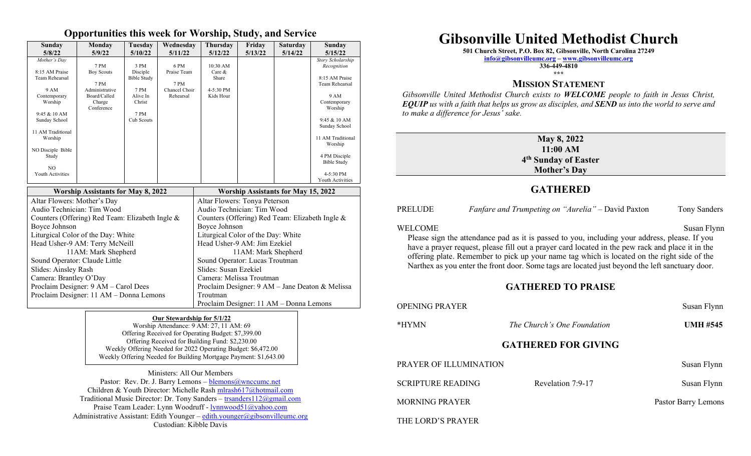#### **Opportunities this week for Worship, Study, and Service**

| Sunday<br>5/8/22                                | Monday<br>5/9/22               | Tuesday<br>5/10/22 | Wednesday<br>5/11/22       | Thursday<br>5/12/22                             | Friday<br>5/13/22 | <b>Saturday</b><br>5/14/22 | Sunday<br>5/15/22             |
|-------------------------------------------------|--------------------------------|--------------------|----------------------------|-------------------------------------------------|-------------------|----------------------------|-------------------------------|
| Mother's Day                                    |                                |                    |                            |                                                 |                   |                            | Story Scholarship             |
|                                                 | 7 PM                           | 3 PM               | 6 PM                       | 10:30 AM                                        |                   |                            | Recognition                   |
| 8:15 AM Praise                                  | <b>Boy Scouts</b>              | Disciple           | Praise Team                | Care &                                          |                   |                            |                               |
| Team Rehearsal                                  |                                | <b>Bible Study</b> |                            | Share                                           |                   |                            | 8:15 AM Praise                |
|                                                 | 7 PM                           |                    | 7 PM                       |                                                 |                   |                            | Team Rehearsal                |
| 9 AM<br>Contemporary                            | Administrative<br>Board/Called | 7 PM<br>Alive In   | Chancel Choir<br>Rehearsal | 4-5:30 PM<br>Kids Hour                          |                   |                            | 9 AM                          |
| Worship                                         | Charge                         | Christ             |                            |                                                 |                   |                            | Contemporary                  |
|                                                 | Conference                     |                    |                            |                                                 |                   |                            | Worship                       |
| 9:45 & 10 AM                                    |                                | 7 PM               |                            |                                                 |                   |                            |                               |
| Sunday School                                   |                                | Cub Scouts         |                            |                                                 |                   |                            | 9:45 & 10 AM<br>Sunday School |
| 11 AM Traditional                               |                                |                    |                            |                                                 |                   |                            |                               |
| Worship                                         |                                |                    |                            |                                                 |                   |                            | 11 AM Traditional             |
|                                                 |                                |                    |                            |                                                 |                   |                            | Worship                       |
| NO Disciple Bible<br>Study                      |                                |                    |                            |                                                 |                   |                            | 4 PM Disciple                 |
|                                                 |                                |                    |                            |                                                 |                   |                            | <b>Bible Study</b>            |
| N <sub>O</sub>                                  |                                |                    |                            |                                                 |                   |                            |                               |
| Youth Activities                                |                                |                    |                            |                                                 |                   |                            | 4-5:30 PM<br>Youth Activities |
|                                                 |                                |                    |                            |                                                 |                   |                            |                               |
| <b>Worship Assistants for May 8, 2022</b>       |                                |                    |                            | <b>Worship Assistants for May 15, 2022</b>      |                   |                            |                               |
| Altar Flowers: Mother's Day                     |                                |                    |                            | Altar Flowers: Tonya Peterson                   |                   |                            |                               |
| Audio Technician: Tim Wood                      |                                |                    |                            | Audio Technician: Tim Wood                      |                   |                            |                               |
| Counters (Offering) Red Team: Elizabeth Ingle & |                                |                    |                            | Counters (Offering) Red Team: Elizabeth Ingle & |                   |                            |                               |
| Boyce Johnson                                   |                                |                    |                            | Boyce Johnson                                   |                   |                            |                               |
| Liturgical Color of the Day: White              |                                |                    |                            | Liturgical Color of the Day: White              |                   |                            |                               |
| Head Usher-9 AM: Terry McNeill                  |                                |                    |                            | Head Usher-9 AM: Jim Ezekiel                    |                   |                            |                               |
| 11AM: Mark Shepherd                             |                                |                    |                            | 11AM: Mark Shepherd                             |                   |                            |                               |
| Sound Operator: Claude Little                   |                                |                    |                            | Sound Operator: Lucas Troutman                  |                   |                            |                               |
| Slides: Ainsley Rash                            |                                |                    |                            | Slides: Susan Ezekiel                           |                   |                            |                               |
| Camera: Brantley O'Day                          |                                |                    |                            | Camera: Melissa Troutman                        |                   |                            |                               |
| Proclaim Designer: 9 AM - Carol Dees            |                                |                    |                            | Proclaim Designer: 9 AM - Jane Deaton & Melissa |                   |                            |                               |
| Proclaim Designer: 11 AM - Donna Lemons         |                                |                    |                            | Troutman                                        |                   |                            |                               |
|                                                 |                                |                    |                            | Proclaim Designer: 11 AM - Donna Lemons         |                   |                            |                               |

#### **Our Stewardship for 5/1/22**

Worship Attendance: 9 AM: 27, 11 AM: 69 Offering Received for Operating Budget: \$7,399.00 Offering Received for Building Fund: \$2,230.00 Weekly Offering Needed for 2022 Operating Budget: \$6,472.00 Weekly Offering Needed for Building Mortgage Payment: \$1,643.00

Ministers: All Our Members Pastor: Rev. Dr. J. Barry Lemons – blemons@wnccumc.net Children & Youth Director: Michelle Rash [mlrash617@hotmail.com](mailto:mlrash617@hotmail.com) Traditional Music Director: Dr. Tony Sanders – [trsanders112@gmail.com](mailto:trsanders112@gmail.com) Praise Team Leader: Lynn Woodruff - [lynnwood51@yahoo.com](mailto:lynnwood51@yahoo.com) Administrative Assistant: Edith Younger – [edith.younger@gibsonvilleumc.org](mailto:edith.younger@gibsonvilleumc.org) Custodian: Kibble Davis

# **Gibsonville United Methodist Church**

**501 Church Street, P.O. Box 82, Gibsonville, North Carolina 27249**

**[info@gibsonvilleumc.org](mailto:info@gibsonvilleumc.org) – [www.gibsonvilleumc.org](http://www.gibsonvilleumc.org/)**

**336-449-4810 \*\*\***

#### **MISSION STATEMENT**

*Gibsonville United Methodist Church exists to WELCOME people to faith in Jesus Christ, EQUIP us with a faith that helps us grow as disciples, and SEND us into the world to serve and to make a difference for Jesus' sake.*

| May 8, 2022                      |
|----------------------------------|
| 11:00 AM                         |
| 4 <sup>th</sup> Sunday of Easter |
| <b>Mother's Day</b>              |

#### **GATHERED**

| <b>PRELUDE</b>                                                                                                                                                                                                                                                                                                                                                                                                                | <i>Fanfare and Trumpeting on "Aurelia"</i> – David Paxton | <b>Tony Sanders</b> |  |  |  |  |
|-------------------------------------------------------------------------------------------------------------------------------------------------------------------------------------------------------------------------------------------------------------------------------------------------------------------------------------------------------------------------------------------------------------------------------|-----------------------------------------------------------|---------------------|--|--|--|--|
| WELCOME<br>Susan Flynn<br>Please sign the attendance pad as it is passed to you, including your address, please. If you<br>have a prayer request, please fill out a prayer card located in the pew rack and place it in the<br>offering plate. Remember to pick up your name tag which is located on the right side of the<br>Narthex as you enter the front door. Some tags are located just beyond the left sanctuary door. |                                                           |                     |  |  |  |  |
| <b>GATHERED TO PRAISE</b>                                                                                                                                                                                                                                                                                                                                                                                                     |                                                           |                     |  |  |  |  |
| <b>OPENING PRAYER</b>                                                                                                                                                                                                                                                                                                                                                                                                         |                                                           | Susan Flynn         |  |  |  |  |
| *HYMN                                                                                                                                                                                                                                                                                                                                                                                                                         | The Church's One Foundation                               | <b>UMH #545</b>     |  |  |  |  |
| <b>GATHERED FOR GIVING</b>                                                                                                                                                                                                                                                                                                                                                                                                    |                                                           |                     |  |  |  |  |
| PRAYER OF ILLUMINATION                                                                                                                                                                                                                                                                                                                                                                                                        |                                                           | Susan Flynn         |  |  |  |  |
| <b>SCRIPTURE READING</b>                                                                                                                                                                                                                                                                                                                                                                                                      | Revelation 7:9-17                                         | Susan Flynn         |  |  |  |  |
| <b>MORNING PRAYER</b>                                                                                                                                                                                                                                                                                                                                                                                                         |                                                           | Pastor Barry Lemons |  |  |  |  |
| THE LORD'S PRAYER                                                                                                                                                                                                                                                                                                                                                                                                             |                                                           |                     |  |  |  |  |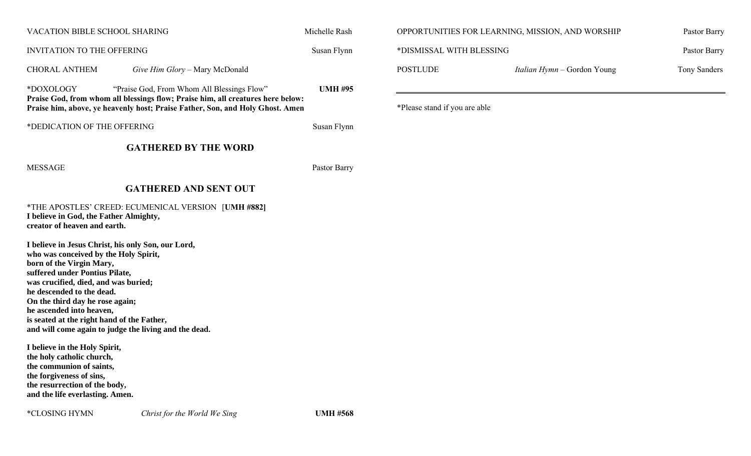| VACATION BIBLE SCHOOL SHARING     |                                                                                                                                                                                                                                                                                                                                                                                                                                                                                                                            | Michelle Rash  | OPPORTUNITIES FOR LEARNING, MISSION, AND WORSHIP |                             | Pastor Barry |
|-----------------------------------|----------------------------------------------------------------------------------------------------------------------------------------------------------------------------------------------------------------------------------------------------------------------------------------------------------------------------------------------------------------------------------------------------------------------------------------------------------------------------------------------------------------------------|----------------|--------------------------------------------------|-----------------------------|--------------|
| <b>INVITATION TO THE OFFERING</b> |                                                                                                                                                                                                                                                                                                                                                                                                                                                                                                                            | Susan Flynn    | *DISMISSAL WITH BLESSING                         | Pastor Barry                |              |
|                                   | <b>CHORAL ANTHEM</b><br>Give Him Glory - Mary McDonald                                                                                                                                                                                                                                                                                                                                                                                                                                                                     |                | <b>POSTLUDE</b>                                  | Italian Hymn - Gordon Young | Tony Sanders |
|                                   | *DOXOLOGY<br>"Praise God, From Whom All Blessings Flow"<br>Praise God, from whom all blessings flow; Praise him, all creatures here below:<br>Praise him, above, ye heavenly host; Praise Father, Son, and Holy Ghost. Amen                                                                                                                                                                                                                                                                                                | <b>UMH #95</b> | *Please stand if you are able                    |                             |              |
|                                   | *DEDICATION OF THE OFFERING                                                                                                                                                                                                                                                                                                                                                                                                                                                                                                | Susan Flynn    |                                                  |                             |              |
|                                   | <b>GATHERED BY THE WORD</b>                                                                                                                                                                                                                                                                                                                                                                                                                                                                                                |                |                                                  |                             |              |
|                                   | <b>MESSAGE</b>                                                                                                                                                                                                                                                                                                                                                                                                                                                                                                             | Pastor Barry   |                                                  |                             |              |
|                                   | <b>GATHERED AND SENT OUT</b>                                                                                                                                                                                                                                                                                                                                                                                                                                                                                               |                |                                                  |                             |              |
|                                   | *THE APOSTLES' CREED: ECUMENICAL VERSION [UMH #882]<br>I believe in God, the Father Almighty,<br>creator of heaven and earth.                                                                                                                                                                                                                                                                                                                                                                                              |                |                                                  |                             |              |
|                                   | I believe in Jesus Christ, his only Son, our Lord,<br>who was conceived by the Holy Spirit,<br>born of the Virgin Mary,<br>suffered under Pontius Pilate,<br>was crucified, died, and was buried;<br>he descended to the dead.<br>On the third day he rose again;<br>he ascended into heaven,<br>is seated at the right hand of the Father,<br>and will come again to judge the living and the dead.<br>I believe in the Holy Spirit,<br>the holy catholic church,<br>the communion of saints,<br>the forgiveness of sins, |                |                                                  |                             |              |

**the resurrection of the body, and the life everlasting. Amen.**